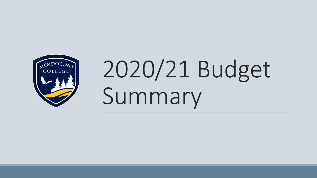

# 2020/21 Budget Summary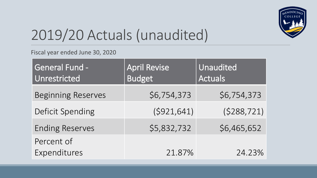

## 2019/20 Actuals (unaudited)

Fiscal year ended June 30, 2020

| <b>General Fund -</b><br>Unrestricted | <b>April Revise</b><br><b>Budget</b> | <b>Unaudited</b><br><b>Actuals</b> |
|---------------------------------------|--------------------------------------|------------------------------------|
| <b>Beginning Reserves</b>             | \$6,754,373                          | \$6,754,373                        |
| <b>Deficit Spending</b>               | (5921, 641)                          | (5288, 721)                        |
| <b>Ending Reserves</b>                | \$5,832,732                          | \$6,465,652                        |
| Percent of<br>Expenditures            | 21.87%                               | 24.23%                             |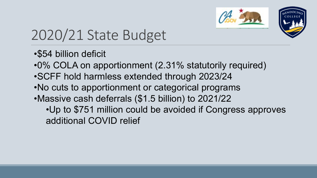

#### 2020/21 State Budget

#### •\$54 billion deficit

- •0% COLA on apportionment (2.31% statutorily required)
- •SCFF hold harmless extended through 2023/24
- •No cuts to apportionment or categorical programs
- •Massive cash deferrals (\$1.5 billion) to 2021/22
	- •Up to \$751 million could be avoided if Congress approves additional COVID relief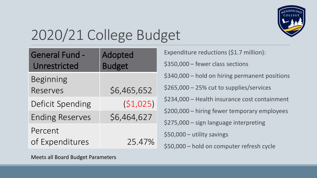

# 2020/21 College Budget

| <b>General Fund -</b>   | Adopted       | Expenditure reductions (\$1.7 million):        |
|-------------------------|---------------|------------------------------------------------|
| Unrestricted            | <b>Budget</b> | \$350,000 - fewer class sections               |
| <b>Beginning</b>        |               | \$340,000 - hold on hiring permanent positions |
| Reserves                | \$6,465,652   | \$265,000 - 25% cut to supplies/services       |
| <b>Deficit Spending</b> | (51,025)      | \$234,000 - Health insurance cost containment  |
| <b>Ending Reserves</b>  | \$6,464,627   | \$200,000 - hiring fewer temporary employees   |
|                         |               | \$275,000 - sign language interpreting         |
| Percent                 |               | \$50,000 - utility savings                     |
| of Expenditures         | 25.47%        | \$50,000 - hold on computer refresh cycle      |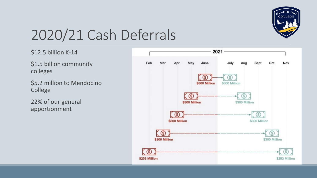

### 2020/21 Cash Deferrals

#### \$12.5 billion K-14 \$1.5 billion community colleges \$5.2 million to Mendocino

College 22% of our general

apportionment

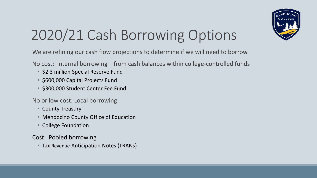

### 2020/21 Cash Borrowing Options

We are refining our cash flow projections to determine if we will need to borrow.

No cost: Internal borrowing – from cash balances within college-controlled funds

- \$2.3 million Special Reserve Fund
- \$600,000 Capital Projects Fund
- \$300,000 Student Center Fee Fund

No or low cost: Local borrowing

- County Treasury
- Mendocino County Office of Education
- College Foundation

Cost: Pooled borrowing

• Tax Revenue Anticipation Notes (TRANs)